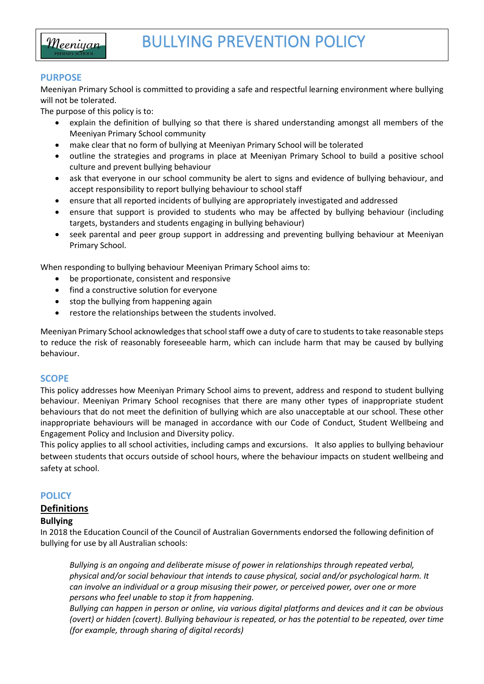

#### **PURPOSE**

l

Meeniyan Primary School is committed to providing a safe and respectful learning environment where bullying will not be tolerated.

The purpose of this policy is to:

- explain the definition of bullying so that there is shared understanding amongst all members of the Meeniyan Primary School community
- make clear that no form of bullying at Meeniyan Primary School will be tolerated
- outline the strategies and programs in place at Meeniyan Primary School to build a positive school culture and prevent bullying behaviour
- ask that everyone in our school community be alert to signs and evidence of bullying behaviour, and accept responsibility to report bullying behaviour to school staff
- ensure that all reported incidents of bullying are appropriately investigated and addressed
- ensure that support is provided to students who may be affected by bullying behaviour (including targets, bystanders and students engaging in bullying behaviour)
- seek parental and peer group support in addressing and preventing bullying behaviour at Meeniyan Primary School.

When responding to bullying behaviour Meeniyan Primary School aims to:

- be proportionate, consistent and responsive
- find a constructive solution for everyone
- stop the bullying from happening again
- restore the relationships between the students involved.

Meeniyan Primary School acknowledges that school staff owe a duty of care to students to take reasonable steps to reduce the risk of reasonably foreseeable harm, which can include harm that may be caused by bullying behaviour.

### **SCOPE**

This policy addresses how Meeniyan Primary School aims to prevent, address and respond to student bullying behaviour. Meeniyan Primary School recognises that there are many other types of inappropriate student behaviours that do not meet the definition of bullying which are also unacceptable at our school. These other inappropriate behaviours will be managed in accordance with our Code of Conduct, Student Wellbeing and Engagement Policy and Inclusion and Diversity policy.

This policy applies to all school activities, including camps and excursions. It also applies to bullying behaviour between students that occurs outside of school hours, where the behaviour impacts on student wellbeing and safety at school.

### **POLICY**

### **Definitions**

#### **Bullying**

In 2018 the Education Council of the Council of Australian Governments endorsed the following definition of bullying for use by all Australian schools:

*Bullying is an ongoing and deliberate misuse of power in relationships through repeated verbal, physical and/or social behaviour that intends to cause physical, social and/or psychological harm. It can involve an individual or a group misusing their power, or perceived power, over one or more persons who feel unable to stop it from happening.*

*Bullying can happen in person or online, via various digital platforms and devices and it can be obvious (overt) or hidden (covert). Bullying behaviour is repeated, or has the potential to be repeated, over time (for example, through sharing of digital records)*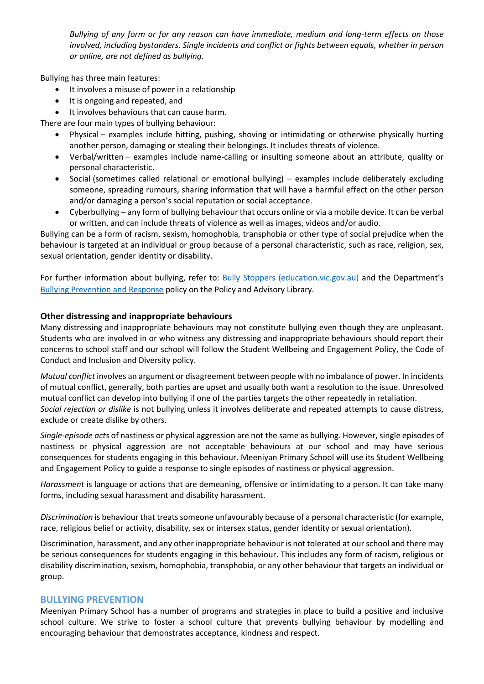*Bullying of any form or for any reason can have immediate, medium and long-term effects on those involved, including bystanders. Single incidents and conflict or fights between equals, whether in person or online, are not defined as bullying.* 

Bullying has three main features:

- It involves a misuse of power in a relationship
- It is ongoing and repeated, and
- It involves behaviours that can cause harm.

There are four main types of bullying behaviour:

- Physical examples include hitting, pushing, shoving or intimidating or otherwise physically hurting another person, damaging or stealing their belongings. It includes threats of violence.
- Verbal/written examples include name-calling or insulting someone about an attribute, quality or personal characteristic.
- Social (sometimes called relational or emotional bullying) examples include deliberately excluding someone, spreading rumours, sharing information that will have a harmful effect on the other person and/or damaging a person's social reputation or social acceptance.
- Cyberbullying any form of bullying behaviour that occurs online or via a mobile device. It can be verbal or written, and can include threats of violence as well as images, videos and/or audio.

Bullying can be a form of racism, sexism, homophobia, transphobia or other type of social prejudice when the behaviour is targeted at an individual or group because of a personal characteristic, such as race, religion, sex, sexual orientation, gender identity or disability.

For further information about bullying, refer to: **[Bully Stoppers \(education.vic.gov.au\)](https://www.education.vic.gov.au/about/programs/bullystoppers/Pages/default.aspx)** and the Department's [Bullying Prevention and Response](https://www2.education.vic.gov.au/pal/bullying-prevention-response/policy) policy on the Policy and Advisory Library.

### **Other distressing and inappropriate behaviours**

Many distressing and inappropriate behaviours may not constitute bullying even though they are unpleasant. Students who are involved in or who witness any distressing and inappropriate behaviours should report their concerns to school staff and our school will follow the Student Wellbeing and Engagement Policy, the Code of Conduct and Inclusion and Diversity policy.

*Mutual conflict* involves an argument or disagreement between people with no imbalance of power. In incidents of mutual conflict, generally, both parties are upset and usually both want a resolution to the issue. Unresolved mutual conflict can develop into bullying if one of the parties targets the other repeatedly in retaliation. *Social rejection or dislike* is not bullying unless it involves deliberate and repeated attempts to cause distress, exclude or create dislike by others.

*Single-episode acts* of nastiness or physical aggression are not the same as bullying. However, single episodes of nastiness or physical aggression are not acceptable behaviours at our school and may have serious consequences for students engaging in this behaviour. Meeniyan Primary School will use its Student Wellbeing and Engagement Policy to guide a response to single episodes of nastiness or physical aggression.

*Harassment* is language or actions that are demeaning, offensive or intimidating to a person. It can take many forms, including sexual harassment and disability harassment.

*Discrimination* is behaviour that treats someone unfavourably because of a personal characteristic (for example, race, religious belief or activity, disability, sex or intersex status, gender identity or sexual orientation).

Discrimination, harassment, and any other inappropriate behaviour is not tolerated at our school and there may be serious consequences for students engaging in this behaviour. This includes any form of racism, religious or disability discrimination, sexism, homophobia, transphobia, or any other behaviour that targets an individual or group.

### **BULLYING PREVENTION**

Meeniyan Primary School has a number of programs and strategies in place to build a positive and inclusive school culture. We strive to foster a school culture that prevents bullying behaviour by modelling and encouraging behaviour that demonstrates acceptance, kindness and respect.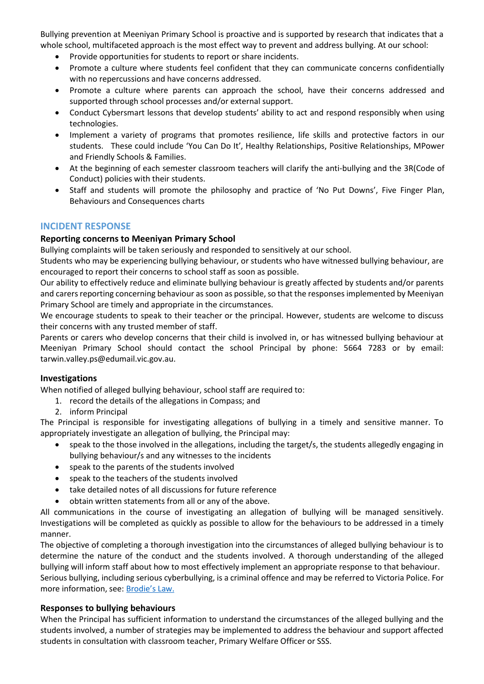Bullying prevention at Meeniyan Primary School is proactive and is supported by research that indicates that a whole school, multifaceted approach is the most effect way to prevent and address bullying. At our school:

- Provide opportunities for students to report or share incidents.
- Promote a culture where students feel confident that they can communicate concerns confidentially with no repercussions and have concerns addressed.
- Promote a culture where parents can approach the school, have their concerns addressed and supported through school processes and/or external support.
- Conduct Cybersmart lessons that develop students' ability to act and respond responsibly when using technologies.
- Implement a variety of programs that promotes resilience, life skills and protective factors in our students. These could include 'You Can Do It', Healthy Relationships, Positive Relationships, MPower and Friendly Schools & Families.
- At the beginning of each semester classroom teachers will clarify the anti-bullying and the 3R(Code of Conduct) policies with their students.
- Staff and students will promote the philosophy and practice of 'No Put Downs', Five Finger Plan, Behaviours and Consequences charts

### **INCIDENT RESPONSE**

### **Reporting concerns to Meeniyan Primary School**

Bullying complaints will be taken seriously and responded to sensitively at our school.

Students who may be experiencing bullying behaviour, or students who have witnessed bullying behaviour, are encouraged to report their concerns to school staff as soon as possible.

Our ability to effectively reduce and eliminate bullying behaviour is greatly affected by students and/or parents and carers reporting concerning behaviour as soon as possible, so that the responses implemented by Meeniyan Primary School are timely and appropriate in the circumstances.

We encourage students to speak to their teacher or the principal. However, students are welcome to discuss their concerns with any trusted member of staff.

Parents or carers who develop concerns that their child is involved in, or has witnessed bullying behaviour at Meeniyan Primary School should contact the school Principal by phone: 5664 7283 or by email: tarwin.valley.ps@edumail.vic.gov.au.

### **Investigations**

When notified of alleged bullying behaviour, school staff are required to:

- 1. record the details of the allegations in Compass; and
- 2. inform Principal

The Principal is responsible for investigating allegations of bullying in a timely and sensitive manner. To appropriately investigate an allegation of bullying, the Principal may:

- speak to the those involved in the allegations, including the target/s, the students allegedly engaging in bullying behaviour/s and any witnesses to the incidents
- speak to the parents of the students involved
- speak to the teachers of the students involved
- take detailed notes of all discussions for future reference
- obtain written statements from all or any of the above.

All communications in the course of investigating an allegation of bullying will be managed sensitively. Investigations will be completed as quickly as possible to allow for the behaviours to be addressed in a timely manner.

The objective of completing a thorough investigation into the circumstances of alleged bullying behaviour is to determine the nature of the conduct and the students involved. A thorough understanding of the alleged bullying will inform staff about how to most effectively implement an appropriate response to that behaviour. Serious bullying, including serious cyberbullying, is a criminal offence and may be referred to Victoria Police. For more information, see: [Brodie's Law.](http://www.education.vic.gov.au/about/programs/bullystoppers/Pages/advicesheetbrodieslaw.aspx)

# **Responses to bullying behaviours**

When the Principal has sufficient information to understand the circumstances of the alleged bullying and the students involved, a number of strategies may be implemented to address the behaviour and support affected students in consultation with classroom teacher, Primary Welfare Officer or SSS.